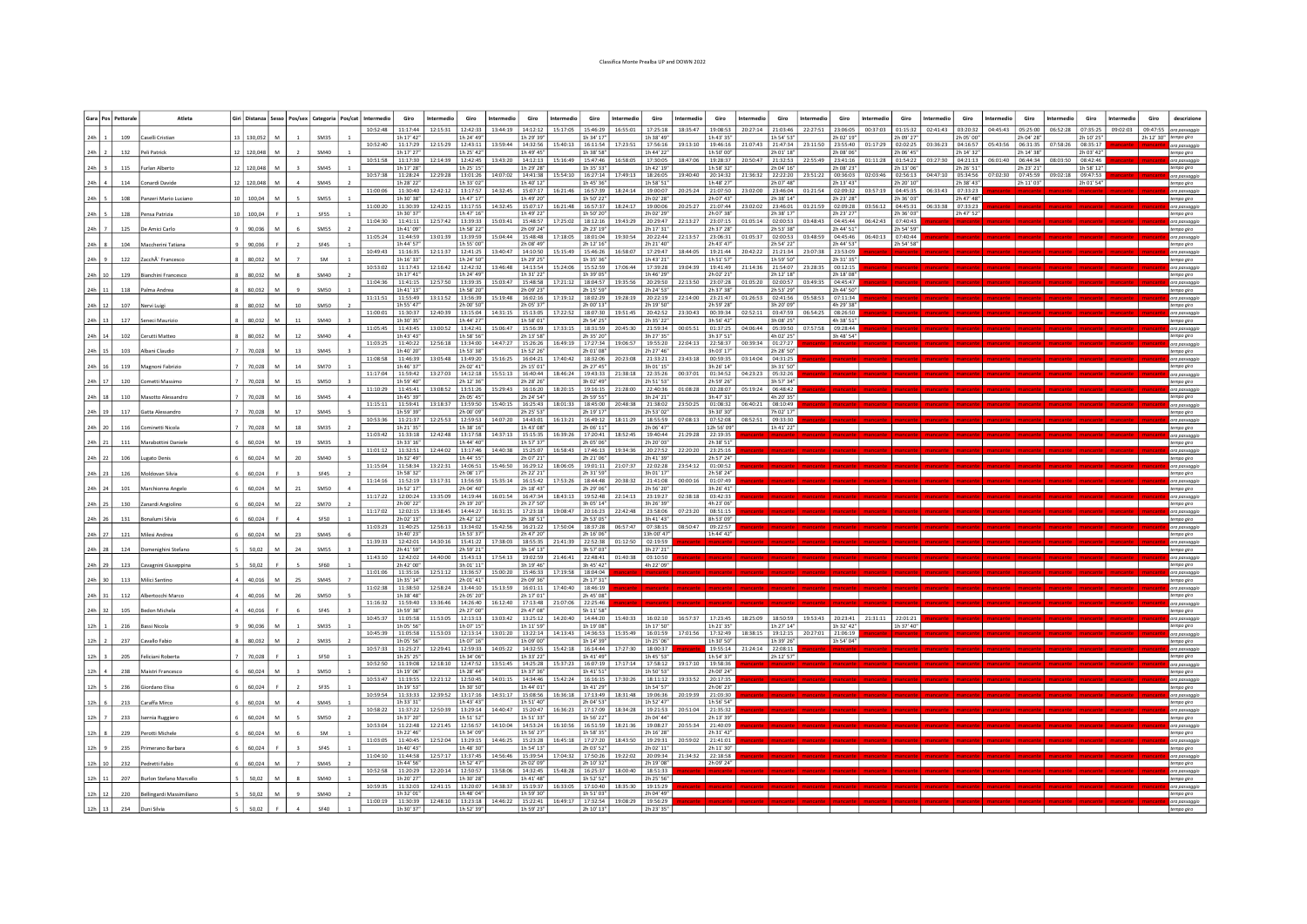## Classifica Monte Prealba UP and DOWN 2022

|                | Gara Pos Pettoral | Atleta                         |                 |            |          |    |                  | Giri   Distanza   Sesso   Pos/sex   Categoria   Pos/cat   Intermedio | Giro                              | Intermedio        | Giro                   | Intermedio                                           | Giro                   | Intermedio                                                                | Giro                   | Intermedio              | Giro                   | ntermedio         | Giro<br>Intermedio                     | Giro                           | Intermedic        | Giro                   | ntermedia                  | Giro                               | ntermedio | Giro                   | Intermedio | Giro                            | ntermedic         | Giro                   | Giro     | descrizion                            |
|----------------|-------------------|--------------------------------|-----------------|------------|----------|----|------------------|----------------------------------------------------------------------|-----------------------------------|-------------------|------------------------|------------------------------------------------------|------------------------|---------------------------------------------------------------------------|------------------------|-------------------------|------------------------|-------------------|----------------------------------------|--------------------------------|-------------------|------------------------|----------------------------|------------------------------------|-----------|------------------------|------------|---------------------------------|-------------------|------------------------|----------|---------------------------------------|
|                |                   |                                |                 |            |          |    |                  | 10:52:48                                                             | 11:17:44                          | 12:15:31          | 12:42:33               | 13:44:19                                             | 14:12:12               | 15:17:05 15:46:29                                                         |                        | 16:55:01                | 17:25:18               | 18:35:47          | 19:08:53<br>20:27:14                   | 21:03:46                       | 22:27:51          | 23:06:05               | 00:37:03                   | 01:15:32                           | 02:41:43  |                        |            | 03:20:32 04:45:43 05:25:00      | 06:52:28          | 07:35:25               | 09:02:03 | 09:47:55   ora passaggio              |
| 24h            | 109               | Caselli Cristia                |                 | 130,052    | <b>M</b> |    | SM35             | 10:52:40                                                             | 1h 17' 42"<br>11:17:29            | 12:15:29          | 1h 24' 49"<br>12:43:11 | 13:59:44                                             | 1h 29' 39"<br>14:32:56 | 15:40:13                                                                  | 1h 34' 17"<br>16:11:54 | 17:23:51                | 1h 38' 49'<br>17:56:16 | 19:13:10          | 1h 43' 35'<br>19:46:16<br>21:07:43     | 1h 54' 53"<br>21:47:34         | 23:11:50          | 2h 02' 19"<br>23:55:40 | 01:17:29                   | 2h 09' 27"<br>02:02:25             | 03:36:23  | 2h 05' 00'<br>04:16:57 |            | 2h 04' 28'<br>06:31:35          |                   | 2h 10' 25"<br>08:35:17 |          | 2h 12' 30" tempo giro<br>ora passaggi |
| $24h$ 2        | 132               | Peli Patrick                   |                 | 12 120,048 | M        |    | SM40             | 10:51:58                                                             | 1h 17' 27'<br>11:17:30            | 12:14:39          | 1h 25' 42'<br>12:42:45 | 13:43:20                                             | 1h 49' 45'<br>14:12:13 | 15:16:49                                                                  | 1h 38' 58'<br>15:47:46 | 16:58:05                | 1h 44' 22<br>17:30:05  | 18:47:06          | 1h 50' 00'<br>19:28:37<br>20:50:47     | 2h 01' 18"<br>21:32:53         | 22:55:49          | 2h 08' 06'<br>23:41:16 | 01:11:28                   | 2h 06' 45<br>01:54:22              | 03:27:30  | 2h 14' 32"<br>04:21:13 | 06:01:40   | 2h 14' 38<br>06:44:34           | 08:03:50          | 2h 03' 42"<br>08:42:46 |          | tempo giro                            |
| 24h            | 115               | rlan Alhert                    |                 | 120.04     |          |    | SM45             |                                                                      | 1h 17' 28"                        |                   | 1h 25' 15"             |                                                      | 1h 29' 28"             |                                                                           | 1h 35' 33'             |                         | 1h 42' 19              |                   | 1h 58' 32'                             | 2h 04' 16"                     |                   | 2h 08' 23"             |                            | 2h 13' 06"                         |           | 2h 26' 51"             |            | 2h 23' 21'                      |                   | 1h 58' 12"             |          | ora passaggio<br>tempo giro           |
| 24h            | 114               | Conardi David                  |                 | 120,048    |          |    | SM <sub>45</sub> | 10:57:38                                                             | $11:28:24$ 12:29:28<br>1h 28' 22' |                   | 1h 33' 02'             | 13:01:26 14:07:02                                    | 1h 40' 12"             | 14:41:38 15:54:10 16:27:14                                                | 1h 45' 36"             | 17:49:13 18:26:05       | 1h 58' 51'             | 19:40:40          | 20:14:32<br>21:36:32<br>1h 48' 27"     | 2h 07' 48"                     | 22:22:20 23:51:22 | 003603<br>h 13' 43'    | 02:03:46                   | $02.56:13$ $04:47:10$<br>h 20' 10" |           | 05:34:56<br>2h 38' 43" |            | 07:02:30 07:45:59<br>2h 11' 03' | 09:02:18 09:47:53 | 2h 01' 54"             |          | ora passaggi<br>tempo giro            |
|                |                   |                                |                 |            |          |    |                  | 11:00:06                                                             | 11:30:40                          | 12:42:12          | 13:17:57               | 14:32:45                                             | 15:07:17               | 16:21:46   16:57:39                                                       |                        | 18:24:14                | 19:00:07               | 20:25:24          | 21:07:50<br>23:02:00                   | 23:46:04                       | 01:21:54          | 02:09:32               | 03:57:19                   | 04:45:35                           | 06:33:43  | 07:33:23               |            |                                 |                   |                        |          | ora passaggi                          |
| 24h            | 108               | Panzeri Mario Lucian           | 10 <sub>1</sub> | 100.04     |          |    | SM55             | 11:00:20                                                             | 1h 30' 38"<br>11:30:39            | 12:42:15          | 1h 47' 17"<br>13:17:55 | 14:32:45                                             | 1h 49' 20"<br>15:07:17 | 16:21:48 16:57:37                                                         | 1h 50' 22"             | 18:24:17                | 2h 02' 28'<br>19:00:06 | 20:25:27 21:07:44 | 2h 07' 43"<br>23:02:02                 | 2h 38' 14"<br>23:46:01         | 01:21:59          | 2h 23' 28"<br>02:09:28 | 03:56:12                   | 2h 36' 03"<br>04:45:31             | 06:33:38  | 2h 47' 48"<br>07:33:23 |            |                                 |                   |                        |          | tempo giro<br>ora passagg             |
| $24h$ 5        | 128               | ensa Patrizia                  | 10 l            | 100.04     |          |    | SF55             |                                                                      | 1h 30' 37'                        |                   | 1h 47' 16"             |                                                      | 1h 49' 22"             |                                                                           | 1h 50' 20'             |                         | 2h 02' 29              |                   | 2h 07' 38"                             | 2h 38' 17'                     |                   | 2h 23' 27'             |                            | 2h 36' 03"                         |           | 2h 47' 52"             |            |                                 |                   |                        |          | tempo giro                            |
| 24h            | 125               | Je Amici Carlı                 |                 | 90,036     |          |    | SM <sub>55</sub> | 11:04:30                                                             | 11:41:11<br>1h 41' 09"            | 12:57:42          | 13:39:33<br>1h 58' 22" | 15:03:41                                             | 15:48:57<br>2h 09' 24' | 17:25:02                                                                  | 18:12:16<br>2h 23' 19' | 19:43:29                | 20:29:47<br>2h 17' 31  | 22:13:27          | 23:07:15<br>01:05:14<br>2h 37' 28'     | 02:00:53<br>2h 53' 38"         | 03:48:43          | 04:45:44<br>2h 44' 51" | 06:42:43                   | 07:40:43<br>2h 54' 59"             |           |                        |            |                                 |                   |                        |          | ora passaq                            |
|                |                   |                                |                 |            |          |    |                  |                                                                      | 11:05:24 11:44:59 13:01:39        |                   |                        | 13:39:59 15:04:44                                    |                        | 15:48:48 17:18:05 18:01:04                                                |                        | 19:30:54 20:22:44       |                        |                   | 22:13:57 23:06:31 01:05:37             |                                | 02:00:53 03:48:59 |                        | 04:45:46 06:40:13 07:40:44 |                                    |           |                        |            |                                 |                   |                        |          | ora passagg                           |
| 24h            | 104               | Maccherini Tatian              |                 | 90.036     |          |    | SF45             | 10:49:43                                                             | 1h 44' 57'<br>11:16:35            | 12:11:37          | 1h 55' 00"<br>12:41:25 | 13:40:47                                             | 2h 08' 49"<br>14:10:50 | 15:15:49 15:46:26                                                         | 2h 12' 16"             | 16:58:07                | 2h 21' 40'<br>17:29:47 | 18:44:05          | 2h 43' 47"<br>19:21:44<br>20:42:22     | 2h 54' 22"<br>21:21:34         | 23:07:38          | 2h 44' 53"<br>23:53:09 |                            | h 54' 58"                          |           |                        |            |                                 |                   |                        |          | tempo giro                            |
| $24h$ 9        | 122               | ZarchÂ" Francesc               |                 | 80.032     |          |    | <b>SM</b>        | 10:53:02                                                             | 1h 16' 33"<br>11:17:43            | 12:16:42          | 1h 24' 50"<br>12:42:32 | 13:46:48                                             | 1h 29' 25"             | 15:24:06                                                                  | 1h 35' 36"<br>15:52:59 | 17:06:44                | 1h 43' 21<br>17:39:28  | PF-B0-P1          | 1h 51' 57"<br>19:41:49<br>21:14:36     | 1h 59' 50"<br>21:54:07         | 23:28:35          | 2h 31' 35"             |                            |                                    |           |                        |            |                                 |                   |                        |          | empo gin                              |
| $24h$ 10       | 129               | sianchini Francesc             |                 | 80,032     | M        |    | SM40             |                                                                      | 1h 17' 41'                        |                   | 1h 24' 49"             |                                                      | 14:13:54<br>1h 31' 22" |                                                                           | 1h 39' 05'             |                         | 1h 46' 29"             |                   | 2h 02' 21'                             | 2h 12' 18"                     |                   | 00:12:15<br>2h 18' 08  |                            |                                    |           |                        |            |                                 |                   |                        |          | ora passage<br>tempo giro             |
| $24h$ 11       | 118               | alma Andre                     |                 | 80.03      |          |    | SM50             | 11:04:36                                                             | 11:41:15<br>1h 41' 13"            | 12:57:50          | 13:39:35<br>1h 58' 20" | 15:03:47                                             | 15:48:58<br>2h 09' 23" | 17:21:12                                                                  | 18:04:57<br>2h 15' 59' | 19:35:56 20:29:50       | 2h 24' 53              | 22:13:50          | 23:07:28<br>01:05:20<br>2h 37' 38'     | 02:00:57<br>2h 53' 29"         | 03:49:35          | 04:45:47<br>2h 44' 50' |                            |                                    |           |                        |            |                                 |                   |                        |          | ora passagg                           |
|                |                   |                                |                 |            |          |    |                  | 11:11:51                                                             | $115549$ 13:11:52                 |                   |                        | 13:56:39 15:19:48                                    |                        | 16:02:16 17:19:12 18:02:29                                                |                        | 19:28:19 20:22:19       |                        | 22:14:00          | 23:21:47<br>$01.26 - 53$               | 02:41:56                       | 05:58:53          | 07:11:34               |                            |                                    |           |                        |            |                                 |                   |                        |          | tempo giro<br>ora passagg             |
| 24h 12         | 107               | Nervi Luig                     |                 | 80.032     |          |    | SM <sub>50</sub> | 11:00:01 11:30:37                                                    | 1h 55' 47'                        | 12:40:39          | 2h 00' 50"<br>13:15:04 | 14:31:15                                             | 2h 05' 37"<br>15:13:05 | 17:22:52 18:07:30                                                         | 2h 00' 13'             | 19:51:45 20:42:52       | 2h 19' 50'             | 23:30:43          | 2h 59' 28"<br>00:39:34<br>$02.52 - 11$ | 3h 20' 09"<br>03:47:59         | 06:54:25          | 4h 29' 38<br>08:26:50  |                            |                                    |           |                        |            |                                 |                   |                        |          | empo giro<br>ora passagg              |
| 24h 13         | 127               | anari Mauriz                   |                 | 80.032     |          |    | SM40             |                                                                      | 1h 30' 35'                        |                   | 1h 44' 27"             |                                                      | 1h 58' 01"             |                                                                           | 2h 54' 25'             |                         | 2h 35' 22"             |                   | 3h 56' 42"                             | 3h 08' 25"                     |                   | 4h 38' 51'             |                            |                                    |           |                        |            |                                 |                   |                        |          | tempo airo                            |
| $24h$ $14$     | 102               | Cerutti Matter                 |                 | 80,032     | M        | 12 | SM40             | 11:05:45                                                             | 11:43:45<br>1h 43' 43'            | 13:00:52          | 13:42:41<br>1h 58' 56" | 15:06:47                                             | 15:56:39<br>2h 13' 58" | 17:33:15   18:31:59                                                       | 2h 35' 20'             | 20:45:30                | 21:59:34<br>3h 27' 35  | 00:05:51          | 01:37:25<br>04:06:44<br>3h 37' 51'     | 05:39:50<br>4h 02' 25"         | 07:57:58          | 09:28:44<br>3h 48' 54" |                            |                                    |           |                        |            |                                 |                   |                        |          | tempo giro                            |
|                |                   |                                |                 |            |          |    |                  | 11:03:25                                                             | 11:40:22                          | 12:56:18          | 13:34:00               | 14:47:27                                             | 15:26:26               | 16:49:19                                                                  | 17:27:34               | 19:06:57                | 19:55:20               | 22:04:13          | 22:58:37<br>00:39:34                   | 01:27:27                       |                   |                        |                            |                                    |           |                        |            |                                 |                   |                        |          | ora passag                            |
| 24h 15         | 103               | <b>Nbani Claudi</b>            |                 | 70,028     |          |    | SM45             |                                                                      | 1h 40' 20"                        |                   | 1h 53' 38"             |                                                      | 1h 52' 26"             | 11:08:58 11:46:39 13:05:48 13:49:20 15:16:25 16:04:21 17:40:42 18:32:06 1 | 2h 01'08'              | 20:23:08 21:33:21       | 2h 27' 46              | 23:43:18 00:59:35 | 3h 03' 17"<br>03:14:04 04:31:25        | 2h 28' 50"                     |                   |                        |                            |                                    |           |                        |            |                                 |                   |                        |          | ora passagg                           |
| $24h$ 16       | 119               | Magnoni Fabriz                 |                 | 70.02      |          |    | SM70             |                                                                      | 1h 46' 37'                        |                   | 2h 02' 41"             |                                                      | 2h 15' 01'             |                                                                           | 2h 27' 45'             |                         | 3h 01' 15'             |                   | 3h 26' 14'                             | 3h 31' 50                      |                   |                        |                            |                                    |           |                        |            |                                 |                   |                        |          | tempo giro                            |
| 24h 17         | 120               | Cometti Massim                 |                 | 70,028     | M        |    | SM50             | 11:17:04 11:59:42                                                    | 1h 59' 40"                        | 13:27:03          | 2h 12' 36"             | $14:12:18$ 15:51:13                                  | 2h 28' 26"             | $16:40:44$ 18:46:24 19:43:33                                              | 3h 02' 49"             | 21:38:18 22:35:26       | 2h 51' 53'             | 00:37:01          | 01:34:52<br>04:23:23<br>2h 59' 26"     | 05:32:26<br>3h 57' 34"         |                   |                        |                            |                                    |           |                        |            |                                 |                   |                        |          | empo qiro                             |
|                |                   |                                |                 |            | M        |    |                  | 11:10:29                                                             | 11:45:41                          | 13:08:52          | 13:51:26               | 15:29:43                                             | 16:16:20               | 18:20:15                                                                  | 19:16:15               | 21:28:00                | 22:40:36               | 01:08:28          | 02:28:07                               | 06:48:42                       |                   |                        |                            |                                    |           |                        |            |                                 |                   |                        |          | ora passaggi                          |
| $24h$ 18       | 110               | Aasotto Alessand               |                 | 70,028     |          |    | <b>SM45</b>      | 11:15:11                                                             | 1h 45' 39"<br>11:59:41            | 13:18:37          | 2h 05' 45"             | 13:59:50 15:40:15                                    | 2h 24' 54"             | 16:25:43 18:01:33                                                         | 2h 59' 55'<br>18:45:00 | 20:48:38 21:38:02       | 3h 24' 21'             | 23:50:25          | 3h 47' 31'<br>01:08:32<br>06:40:21     | 4h 20' 35<br>08:10:49          |                   |                        |                            |                                    |           |                        |            |                                 |                   |                        |          | tempo giro<br>ora passaggi            |
| 24h   19       | 117               | Satta Alessandri               |                 | 70.028     |          | 17 | SM45             | 10:53:36                                                             | 1h 59' 39'<br>11.21.37            | 12:25:53          | 2h 00' 09"             | $12.59.53$ $14.07.20$                                | 2h 25' 53"             | 14:43:01 16:13:21 16:49:12                                                | 2h 19' 17"             | 18:11:29 18:55:59       | 2h 53' 02              | 07:08:13          | 3h 30' 30"<br>07:52:08                 | 7h 02' 17<br>08:52:51 09:33:30 |                   |                        |                            |                                    |           |                        |            |                                 |                   |                        |          |                                       |
| 24h 20         | 116               |                                |                 | 70.028     |          |    | <b>SM35</b>      |                                                                      | 1h 21' 35'                        |                   | 1h 38' 16"             |                                                      | 1h 43' 08"             |                                                                           | 2h 06' 11"             |                         | 2h 06' 47              |                   | 12h 56' 09"                            | 1h 41' 22                      |                   |                        |                            |                                    |           |                        |            |                                 |                   |                        |          | empo qirc                             |
| $24h$ 21       | 111               | Marabottini Danie              |                 | 60,024     |          |    | <b>SM35</b>      | 11:03:42                                                             | 11:33:18<br>1h 33' 16"            | 12:42:48          | 13:17:58<br>1h 44' 40" | 14:37:13                                             | 15:15:35<br>1h 57' 37" | 16:39:26 17:20:41                                                         | 2h 05' 06'             | 18:52:45                | 19:40:44<br>2h 20' 03' | 21:29:28          | 22:19:35<br>2h 38' 51'                 |                                |                   |                        |                            |                                    |           |                        |            |                                 |                   |                        |          | ora passagg<br>empo qiro              |
|                |                   |                                |                 |            |          |    |                  | 11:01:12                                                             | 11:32:51                          | 12:44:02          | 13:17:46               | 14:40:38                                             | 15:25:07               | 16:58:43 17:46:13                                                         |                        | 19:34:36                | 20:27:52               | 22:20:20          | 23:25:16                               |                                |                   |                        |                            |                                    |           |                        |            |                                 |                   |                        |          |                                       |
| $24h$   22     | 106               | ugato Denis                    |                 | 60,024     | M        |    | SM40             | 11:15:04                                                             | 1h 32' 49'<br>11:58:34            | 13:22:31          | 1h 44' 55"<br>14:06:51 | 15:46:50                                             | 2h 07' 21'<br>16:29:12 | 18:06:05                                                                  | 2h 21' 06"<br>19:01:11 | 21:07:37                | 2h 41' 39"<br>22:02:28 | 23:54:12          | 2h 57' 24'<br>01:00:52                 |                                |                   |                        |                            |                                    |           |                        |            |                                 |                   |                        |          | tempo giro<br>ora passaa              |
| $24h$ 23       | 126               | Moldovan Silvia                |                 | 60.024     |          |    | SF45             |                                                                      | 1h 58' 32'                        |                   | 2h 08' 17'             |                                                      | 2h 22' 21'             |                                                                           | 2h 31' 59'             |                         | 3h 01' 17              |                   | 2h 58' 24'                             |                                |                   |                        |                            |                                    |           |                        |            |                                 |                   |                        |          |                                       |
| $24h$ 24       | 101               | Marchionna Ange                |                 | 60,02      |          |    | SM <sub>50</sub> | 11:14:16                                                             | 11:52:19<br>1h 52' 17'            | 13:17:31          | 13:56:59<br>2h 04' 40" | 15:35:14                                             | 2h 18' 43'             | 16:15:42 17:53:26 18:44:48                                                | 2h 29' 06"             | $20.38.32$   $21.41.08$ | 2h 56' 20              | 00:00:16          | 01:07:49<br>3h 26' 41'                 |                                |                   |                        |                            |                                    |           |                        |            |                                 |                   |                        |          | ora passagg<br>tempo giro             |
|                |                   |                                |                 |            |          |    |                  | 11:17:22                                                             | 12:00:24                          | 13:35:09          | 14:19:44               | 16:01:54                                             | 16:47:34               | 18:43:13 19:52:48                                                         |                        | 22:14:13                | 23:19:27               | 02:38:18          | 03:42:33                               |                                |                   |                        |                            |                                    |           |                        |            |                                 |                   |                        |          |                                       |
| 24h 25         | 130               | Zanardi Angiolin               |                 | 60,024     | M        |    | <b>SM70</b>      | 11:17:02                                                             | 2h 00' 22"<br>12:02:15            | 13:38:45          | 2h 19' 20"<br>14:44:27 | 16:31:15                                             | 2h 27' 50"<br>17:23:18 | $19.08.47$   $20.16.23$                                                   | 3h 05' 14"             | 77.47.48                | 3h 26' 39'<br>23:58:06 | 07:23:20          | 4h 23' 06'<br>08:51:15                 |                                |                   |                        |                            |                                    |           |                        |            |                                 |                   |                        |          | empo qiro                             |
| $24h$ 26       | 131               | Bonalumi Silvia                |                 | 60,024     |          |    | SF50             | 11:03:23                                                             | 2h 02' 13'<br>11:40:25            | 12:56:13          | 2h 42' 12"<br>13:34:02 | 15:42:56                                             | 2h 38' 51"<br>16:21:22 | 17:50:04                                                                  | 2h 53' 05"<br>18:37:28 | 06:57:47                | 3h 41' 43"<br>07:38:15 | 08:50:47          | 8h 53' 09'<br>09:22:57                 |                                |                   |                        |                            |                                    |           |                        |            |                                 |                   |                        |          | tempo giro<br>ora passagi             |
| 24h   27       | 121               | Milesi Andrea                  |                 | 60.024     |          |    | SM45             |                                                                      | 1h 40' 23"                        |                   | 1h 53' 37"             |                                                      | 2h 47' 20"             |                                                                           | 2h 16' 06'             |                         | 13h 00' 47             |                   | 1h 44' 42'                             |                                |                   |                        |                            |                                    |           |                        |            |                                 |                   |                        |          | tempo giro                            |
| $24h$ 28       | 124               | Domenighini Stefar             |                 | 50,02      |          |    | SM55             | 11:39:33                                                             | 12:42:01<br>2h 41' 59"            | 14:30:16          | 2h 59' 21"             | 15:41:22 17:38:03                                    | 18:55:35<br>3h 14' 13" | 21:41:39                                                                  | 22:52:38<br>3h 57' 03' | 01:12:50                | 02:19:59<br>3h 27' 21  |                   |                                        |                                |                   |                        |                            |                                    |           |                        |            |                                 |                   |                        |          | mpo girc                              |
|                |                   |                                |                 |            |          |    |                  | 11:43:10                                                             | 12:42:02                          | 14:40:00          |                        | 15:43:13 17:54:13                                    |                        | $19:02:59$ 21:46:41 22:48:41                                              |                        | 01:40:38 03:10:50       |                        |                   |                                        |                                |                   |                        |                            |                                    |           |                        |            |                                 |                   |                        |          | ora passagg                           |
| 24h 29         | 123               | Cavagnini Giusepp              |                 | 50.02      |          |    | <b>SF60</b>      | 11:01:06                                                             | 2h 42' 00"<br>11.35:16            | 12:51:12          | 3h 01' 11"<br>13:36:57 | 15:00:20                                             | 3h 19' 46"<br>15:46:33 | 17:19:58 18:04:04                                                         | 3h 45' 42'             |                         | 4h 22' 09'             |                   |                                        |                                |                   |                        |                            |                                    |           |                        |            |                                 |                   |                        |          | tempo qiro                            |
| $24h$ 30       | 113               | Milici Santine                 |                 | 40,016     | M        | 25 | SM45             |                                                                      | 1h 35' 14"                        |                   | 2h 01' 41"             |                                                      | 2h 09' 36"             |                                                                           | 2h 17' 31"             |                         |                        |                   |                                        |                                |                   |                        |                            |                                    |           |                        |            |                                 |                   |                        |          | tempo giro                            |
| $24h$ 31       | 112               | Albertocchi Marc               |                 | 40,016     |          |    | <b>SM50</b>      | 11:02:38                                                             | 11:38:50<br>1h 38' 48'            | 12:58:24          | 13:44:10<br>2h 05' 20" | 15:13:59                                             | 16:01:11<br>2h 17' 01" | 17:40:40                                                                  | 18:46:19<br>2h 45' 08" |                         |                        |                   |                                        |                                |                   |                        |                            |                                    |           |                        |            |                                 |                   |                        |          | ora passaq<br>'empo giro              |
| $24h$ 32       | 105               | sedon Michel                   |                 | 40,01      |          |    | SF45             |                                                                      | 1h 59' 38"                        |                   | 2h 27' 00"             | 11:16:32   11:59:40   13:36:46   14:26:40   16:12:40 | 2h 47' 08"             | 17:13:48 21:07:06 22:25:46                                                | 5h 11' 58'             |                         |                        |                   |                                        |                                |                   |                        |                            |                                    |           |                        |            |                                 |                   |                        |          | ora passagg                           |
|                |                   |                                |                 |            |          |    |                  | 10:45:37 11:05:58                                                    |                                   | 11:53:05          |                        | 12:13:13 13:03:42                                    |                        | 13:25:12 14:20:40                                                         | 14:44:20               | 15:40:33 16:02:10       |                        |                   | 16:57:37   17:23:45   18:25:09         |                                | 18:50:59 19:53:43 |                        | 20:23:41 21:31:11 22:01:21 |                                    |           |                        |            |                                 |                   |                        |          | tempo giro<br>ora passagg             |
| 12h            | 216               | Bassi Nicola                   |                 | 90.036     |          |    | <b>SM35</b>      | 10.45.39                                                             | 1h 05' 56"<br>11:05:58            | 11:53:03          | 1h 07' 15"<br>12:13:14 | 13:01:20                                             | 1h 11' 59"<br>13:22:14 | 14.13.43                                                                  | 1h 19' 08'<br>14.36.53 | 15:35:49                | 1h 17' 50"<br>16:01:59 | 17:01:56          | 1h 21' 35"<br>$17.32 - 49$<br>18.38.15 | 1h 27' 14"<br>19:12:15         | 20:27:01          | 1h 32' 42"<br>21:06:19 |                            | 1h 37' 40"                         |           |                        |            |                                 |                   |                        |          | tempo giro                            |
| $12h$ 2        | 237               | Cavallo Fabir                  |                 | 80.032     | M        |    | <b>SM35</b>      |                                                                      | 1h 05' 56"                        |                   | 1h 07' 16"             |                                                      | 1h 09' 00'             |                                                                           | 1h 14' 39"             |                         | 1h 25' 06"             |                   | 1h 30' 50"                             | 1h 39' 26"                     |                   | 1h 54' 04"             |                            |                                    |           |                        |            |                                 |                   |                        |          | tempo giro                            |
| 12h            | 205               | eliciani Roberta               |                 | 70,028     |          |    | SF50             | 10:57:33                                                             | 11:25:27<br>1h 25' 25'            | 12:29:41          | 12:59:33<br>1h 34' 06" | 14:05:22                                             | 14:32:55<br>1h 33' 22' | 15:42:18                                                                  | 16:14:44<br>1h 41' 49' | 17:27:30                | 18:00:37<br>1h 45' 53  |                   | 19:55:14<br>21:24:14<br>1h 54' 37'     | 22:08:11<br>2h 12' 57'         |                   |                        |                            |                                    |           |                        |            |                                 |                   |                        |          | ora passagg<br>tempo giro             |
|                |                   |                                |                 |            |          |    |                  | 10:52:50                                                             | 11:19:08                          | 12:18:10          |                        | $12:47:52$ 13:51:45                                  |                        | 14:25:28 15:37:23 16:07:19                                                |                        | 17:17:14 17:58:12       |                        | 19:17:10          | 19:58:36                               |                                |                   |                        |                            |                                    |           |                        |            |                                 |                   |                        |          |                                       |
| 12h            | 238               | Maistri Francesc               |                 | 60,024     |          |    | SM50             |                                                                      | 1h 19' 06'<br>10:53:47 11:19:55   | 12:21:12          | 1h 28' 44"<br>12:50:45 | 14:01:15                                             | 1h 37' 36"<br>14:34:46 | 15:42:24 16:16:15                                                         | 1h 41' 51'             | 17:30:26                | 1h 50' 53<br>18:11:12  | 19:33:52          | 2h 00' 24'<br>20:17:35                 |                                |                   |                        |                            |                                    |           |                        |            |                                 |                   |                        |          | ora passagg                           |
| 12h            | 236               | Giordano Elisa                 |                 | 60.024     |          |    | SF35             | 10:59:54                                                             | 1h 19' 53'<br>$11 - 33 - 33$      | 12:39:52          | 1h 30' 50"<br>13:17:16 | 14:31:17                                             | 1h 44' 01'<br>15:08:56 | 16:36:18 17:13:49                                                         | 1h 41' 29'             | 18:31:48 19:06:36       | 1h 54' 57              | 20:19:39          | 2h 06' 23'<br>21:03:30                 |                                |                   |                        |                            |                                    |           |                        |            |                                 |                   |                        |          | tempo giro                            |
| $12h$ 6        | 213               | Caraffa Mirco                  |                 | 60,024     | M        |    | SM45             |                                                                      | 1h 33' 31'                        |                   | 1h 43' 43"             |                                                      | 1h 51' 40"             |                                                                           | 2h 04' 53'             |                         | 1h 52' 47"             |                   | 1h 56' 54"                             |                                |                   |                        |                            |                                    |           |                        |            |                                 |                   |                        |          | tempo giro                            |
| 12h            | 233               | Isernia Ruggiero               |                 | 60,024     |          |    | <b>SM50</b>      | 10:58:22                                                             | 11:37:22<br>1h 37' 20"            | 12:50:39          | 13:29:14<br>1h 51' 52  | 14:40:47                                             | 15:20:47<br>1h 51' 33' | 16:36:23                                                                  | 17:17:09<br>1h 56' 22' | 18:34:28                | 19:21:53<br>2h 04' 44  | 20:51:04          | 21:35:32<br>2h 13' 39'                 |                                |                   |                        |                            |                                    |           |                        |            |                                 |                   |                        |          | ora passagg<br>tempo giro             |
|                |                   |                                |                 |            |          |    |                  | 10:53:04                                                             |                                   | 11:22:48 12:21:45 | 12:56:57               | 14:10:04                                             | 14:53:24               | 16:10:56 16:51:59                                                         |                        | 18:21:36                | 19:08:27               | 20:55:34          | 21:40:09                               |                                |                   |                        |                            |                                    |           |                        |            |                                 |                   |                        |          | ora passagg                           |
| 12h            | 229               | rotti Michel                   |                 | 60.024     |          |    | <b>SM</b>        | 11:03:05                                                             | 1h 22' 46"<br>11:40:45            | 12:52:04          | 1h 34' 09"<br>13:29:15 | 14:46:25                                             | 1h 56' 27"<br>15:23:28 | 16:45:18                                                                  | 1h 58' 35'<br>17:27:20 | 18:43:50                | 2h 16' 28'<br>19:29:31 | 20:59:02          | 2h 31' 42'<br>21:41:01                 |                                |                   |                        |                            |                                    |           |                        |            |                                 |                   |                        |          | tempo giro<br>ora passagg             |
| 12h<br>$\circ$ | 235               | Primerano Barbara              |                 | 60.024     |          |    | SF45             |                                                                      | 1h 40' 43'                        |                   | 1h 48' 30"             |                                                      | 1h 54' 13"             |                                                                           | 2h 03' 52'             |                         | 2h 02' 11              |                   | 2h 11' 30"                             |                                |                   |                        |                            |                                    |           |                        |            |                                 |                   |                        |          | tempo giro                            |
| $12h$ 10       | 232               | Pedretti Fabio                 |                 | 60,024     | M        |    | <b>SM45</b>      | 11:04:10                                                             | 11:44:58<br>1h 44' 56'            | 12.57:17          | 13:37:45<br>1h 52' 47" | 14.56.46                                             | 15:39:54<br>2h 02' 09' | 17:04:32                                                                  | 17:50:26<br>2h 10' 32' | 19:22:02                | 20:09:34<br>2h 19' 08' | 21:34:32          | 22.18.58<br>2h 09' 24"                 |                                |                   |                        |                            |                                    |           |                        |            |                                 |                   |                        |          | ora passaggi<br>tempo giro            |
|                | 207               |                                |                 |            |          |    | SM40             | 10:52:58                                                             | 11:20:29                          | 12:20:14          | 12:50:57               | 13:58:06                                             | 14:32:45               | 15:48:28                                                                  | 16:25:37               | 18:00:40                | 18:51:33               |                   |                                        |                                |                   |                        |                            |                                    |           |                        |            |                                 |                   |                        |          | ora passaggi                          |
| $12h$ 11       |                   | <b>Burlon Stefano Marcello</b> |                 | 50,02      |          |    |                  | 10:59:35                                                             | 1h 20' 27'<br>11:32:03            | 12:41:15          | 1h 30' 28'<br>13:20:07 | 14:38:37                                             | 1h 41' 48'<br>15:19:37 | 16:33:05                                                                  | 1h 52' 52<br>17:10:40  | 18:35:30                | 2h 25' 56<br>19:15:29  |                   |                                        |                                |                   |                        |                            |                                    |           |                        |            |                                 |                   |                        |          | tempo giro<br>ora passagg             |
| $12h$ $12$     | 220               | llingardi Mas                  |                 | 50.02      |          |    | SM40             |                                                                      | 1h 32' 01"<br>11:00:19 11:30:39   | 12:48:10          | 1h 48' 04"<br>13:23:18 | 14:46:22                                             | 1h 59' 30"             | 15:22:41 16:49:17 17:32:54                                                | 1h 51' 03'             | 19:08:29                | 2h 04' 49<br>19:56:29  |                   |                                        |                                |                   |                        |                            |                                    |           |                        |            |                                 |                   |                        |          |                                       |
| $12h$ 13       | 234               | Duni Silvi                     |                 |            |          |    | sran             |                                                                      | 1h 30' 37"                        |                   | 1h 52' 39"             |                                                      | 1h 59' 23"             |                                                                           | 2h 10' 13"             |                         | 2h 23' 35"             |                   |                                        |                                |                   |                        |                            |                                    |           |                        |            |                                 |                   |                        |          | ora passaggi                          |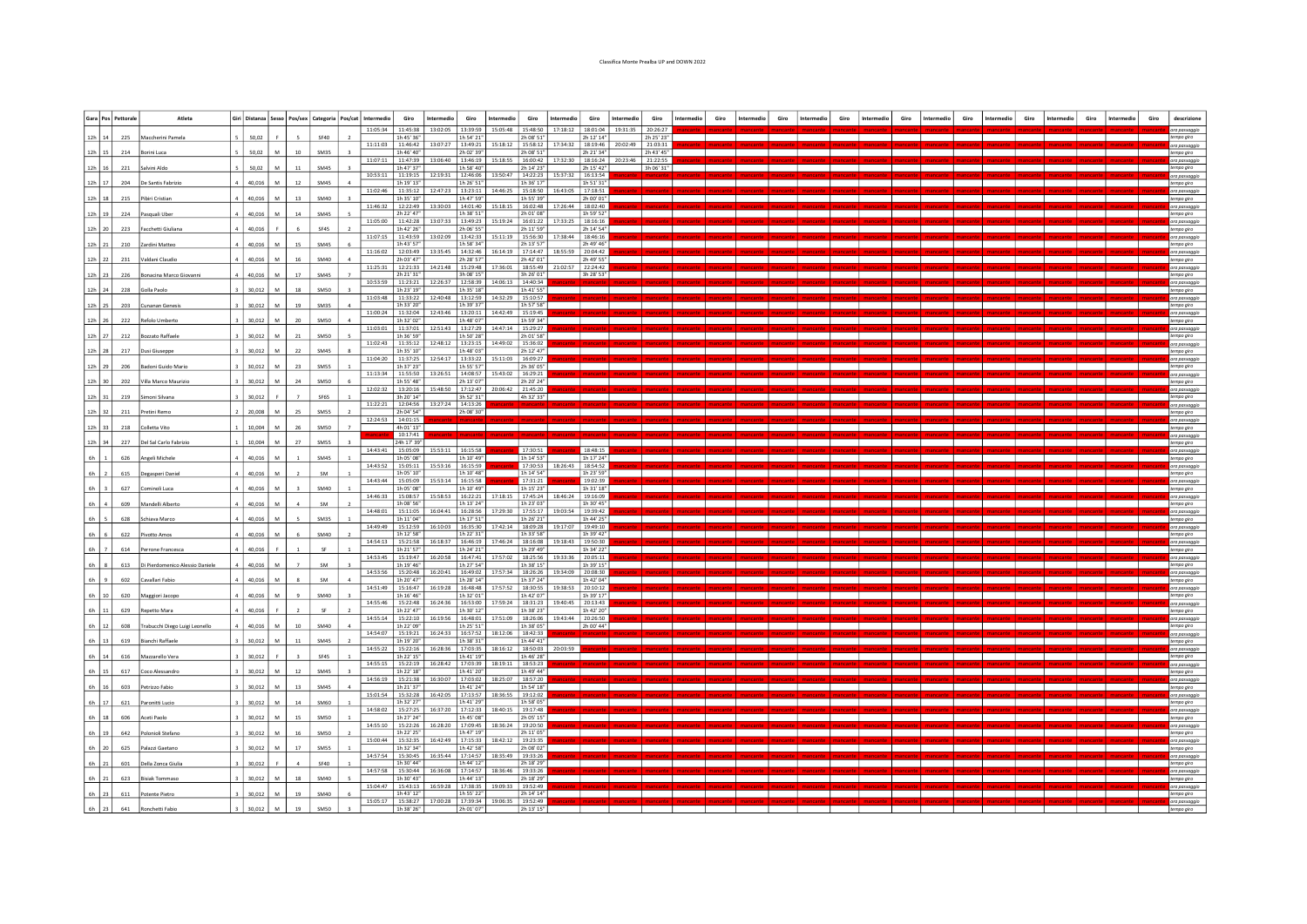## Classifica Monte Prealba UP and DOWN 2022

|           |                          | Gara Pos Pettorale | Atleta                          |        |           |                  |                  | Giri   Distanza   Sesso   Pos/sex   Categoria   Pos/cat   Intermedio | Giro                   | Intermedio                                            | Giro                   | Intermedio                                                      | Giro                   | Intermedio          | Giro                   | Intermedio | Giro                   | Giro |  |  |  |  |  |  | Giro | descrizione                 |
|-----------|--------------------------|--------------------|---------------------------------|--------|-----------|------------------|------------------|----------------------------------------------------------------------|------------------------|-------------------------------------------------------|------------------------|-----------------------------------------------------------------|------------------------|---------------------|------------------------|------------|------------------------|------|--|--|--|--|--|--|------|-----------------------------|
|           |                          |                    |                                 |        |           |                  |                  | 11:05:34 11:45:38                                                    |                        |                                                       |                        | 13:02:05   13:39:59   15:05:48   15:48:50   17:18:12   18:01:04 |                        |                     |                        | 19:31:35   | 20:26:27               |      |  |  |  |  |  |  |      | ora passaggio               |
| 12h 14    |                          | 225                | Maccherini Pamela               | 50,02  |           |                  | SF40             | 11:11:03                                                             | 1h 45' 36"<br>11:46:42 | 13:07:27                                              | 1h 54' 21"<br>13:49:21 | 15:18:12   15:58:12                                             | 2h 08' 51"             | 17:34:32            | 2h 12' 14"<br>18:19:46 | 20:02:49   | 2h 25' 23"<br>21:03:31 |      |  |  |  |  |  |  |      | tempo giro<br>ora passaggio |
|           | 12h 15                   | 214                | Borini Luca                     | 50,02  | M         | $10\,$           | SM35             |                                                                      | 1h 46' 40              |                                                       | 2h 02' 39'             |                                                                 | 2h 08' 51"             |                     | 2h 21' 34"             |            | 2h 43' 45"             |      |  |  |  |  |  |  |      | tempo giro                  |
| $12h$ 16  |                          | 221                | Salvini Aldo                    | 50,02  |           |                  | SM45             | 11:07:11                                                             | 11:47:39<br>1h 47' 37  | 13:06:40   13:46:19                                   | 1h 58' 40"             | 15:18:55 16:00:42                                               | 2h 14' 23"             | 17:32:30            | 18:16:24<br>2h 15' 42" | 20:23:46   | 21:22:55<br>3h 06' 31" |      |  |  |  |  |  |  |      | ora passaggio<br>empo giro  |
| $12h$ 17  |                          | 204                | De Santis Fabrizio              | 40,016 | M         | 12               | <b>SM45</b>      | 10:53:11                                                             | 11:19:15<br>1h 19' 13' |                                                       | 1h 26' 51"             | 12:19:31   12:46:06   13:50:47   14:22:23   15:37:32            | 1h 36' 17"             |                     | 16:13:54<br>1h 51' 31" |            |                        |      |  |  |  |  |  |  |      | wa passaqq                  |
|           |                          |                    |                                 |        |           |                  |                  | 11:02:46                                                             | 11:35:12               | 12:47:23 13:23:11                                     |                        | 14:46:25   15:18:50                                             |                        | 16:43:05 17:18:51   |                        |            |                        |      |  |  |  |  |  |  |      | empo giro<br>ora passaggi   |
| 12h 18    |                          | 215                | Pibiri Cristian                 | 40.016 | M         | 13               | SM40             | 11:46:32                                                             | 1h 35' 10'<br>12:22:49 | 13:30:03 14:01:40                                     | 1h 47' 59"             | 15:18:15 16:02:48                                               | 1h 55' 39"             | 17:26:44 18:02:40   | 2h 00' 01"             |            |                        |      |  |  |  |  |  |  |      | tempo giro<br>wa passagg    |
|           | 12h 19                   | 224                | Pasquali Uber                   | 40,016 | ${\sf M}$ | $14\,$           | SM45             |                                                                      | 2h 22' 47"             |                                                       | 1h 38' 51"             |                                                                 | 2h 01' 08"             |                     | 1h 59' 52"             |            |                        |      |  |  |  |  |  |  |      | tempo giro                  |
| 12h 20    |                          | 223                | Facchetti Giulian               | 40,016 |           |                  | SF45             | 11:05:00                                                             | 11:42:28<br>1h 42' 26' | 13:07:33 13:49:23                                     | 2h 06' 55"             | 15:19:24 16:01:22                                               | 2h 11' 59"             | 17:33:25            | 18:16:16<br>2h 14' 54" |            |                        |      |  |  |  |  |  |  |      | ora passagg<br>empo giro    |
|           |                          |                    |                                 |        |           |                  |                  | 11:07:15 11:43:59                                                    | 1h 43' 57'             | 13:02:09 13:42:33 15:11:19 15:56:30 17:38:44 18:46:16 |                        |                                                                 | 2h 13' 57"             |                     | 2h 49' 46"             |            |                        |      |  |  |  |  |  |  |      | ora passaggi                |
| 12h 21    |                          | 210                | Zardini Matteo                  | 40,016 |           |                  | SM45             | 11:16:02                                                             | 12:03:49               |                                                       | 1h 58' 34"             | 13:35:45   14:32:46   16:14:19   17:14:47                       |                        | 18:55:59 20:04:42   |                        |            |                        |      |  |  |  |  |  |  |      | empo giro<br>ora passaggi   |
|           | 12h 22                   | 231                | Valdani Claudio                 | 40.016 | M         | 16               | SM40             | 11:25:31                                                             | 2h 03' 47'<br>12:21:33 | 14:21:48 15:29:48                                     | 2h 28' 57"             | 17:36:01                                                        | 2h 42' 01"<br>18:55:49 | 21:02:57            | 2h 49' 55"<br>22:24:42 |            |                        |      |  |  |  |  |  |  |      | tempo giro<br>ora passagg   |
|           | $12h$ 23                 | 226                | Bonacina Marco Giovann          | 40,016 | ${\sf M}$ | 17               | <b>SM45</b>      |                                                                      | 2h 21' 31'             |                                                       | 3h 08' 15"             |                                                                 | 3h 26' 01"             |                     | 3h 28' 53"             |            |                        |      |  |  |  |  |  |  |      | tempo giro                  |
| $12h$ 24  |                          | 228                | Solla Paolo                     | 30,012 |           |                  | SM50             | 10:53:59                                                             | 11:23:21<br>1h 23' 19' |                                                       | 1h 35' 18"             | 12:26:37   12:58:39   14:06:13   14:40:34                       | 1h 41' 55"             |                     |                        |            |                        |      |  |  |  |  |  |  |      | ora passaggio<br>tempo giro |
|           |                          |                    |                                 |        |           |                  |                  | 11:03:48 11:33:22                                                    |                        |                                                       |                        | 12:40:48 13:12:59 14:32:29 15:10:57                             |                        |                     |                        |            |                        |      |  |  |  |  |  |  |      | va passaggi                 |
| 12h 25    |                          | 203                | Cunanan Gen                     | 30,012 |           | 19               | <b>SM35</b>      | 11:00:24 11:32:04                                                    | 1h 33' 20'             | 12:43:46 13:20:11                                     | 1h 39' 37"             | 14:42:49 15:19:45                                               | 1h 57' 58"             |                     |                        |            |                        |      |  |  |  |  |  |  |      | mpo giro<br>ora passaggio   |
| 12h 26    |                          | 222                | Refolo Umberto                  | 30.012 | M         | 20 <sub>0</sub>  | <b>SM50</b>      | 11:03:01                                                             | 1h 32' 02'<br>11:37:01 | 12:51:43   13:27:29                                   | 1h 48' 07"             | 14:47:14 15:29:27                                               | 1h 59' 34"             |                     |                        |            |                        |      |  |  |  |  |  |  |      | empo giro                   |
|           | 12h 27                   | 212                | <b>Bozzato Raffaele</b>         | 30,012 | M         | 21               | SM50             |                                                                      | 1h 36' 59"             |                                                       | 1h 50' 28"             |                                                                 | 2h 01' 58"             |                     |                        |            |                        |      |  |  |  |  |  |  |      | a passaggi<br>tempo giro    |
| 12h 28    |                          | 217                | Dusi Giuseppe                   | 30,012 |           | 22               | <b>SM45</b>      | 11:02:43                                                             | 11:35:12<br>1h 35' 10' |                                                       | 1h 48' 03"             | 12:48:12   13:23:15   14:49:02   15:36:02                       | 2h 12' 47"             |                     |                        |            |                        |      |  |  |  |  |  |  |      | ora passaggi<br>empo giro   |
|           |                          |                    |                                 |        |           |                  |                  | 11:04:20 11:37:25                                                    |                        | 12:54:17   13:33:22   15:11:03   16:09:27             |                        |                                                                 |                        |                     |                        |            |                        |      |  |  |  |  |  |  |      | ora passaggi                |
| 12h 29    |                          | 206                | Badoni Guido Mari               | 30,012 |           |                  | SM55             | 11:13:34 11:55:50                                                    | 1h 37' 23'             | 13:26:51 14:08:57                                     | 1h 55' 57"             | 15:43:02 16:29:21                                               | 2h 36' 05"             |                     |                        |            |                        |      |  |  |  |  |  |  |      | mpo giro<br>va passaggio    |
| 12h 30    |                          | 202                | Villa Marco Maurizio            | 30,012 | M         | 2 <sub>d</sub>   | <b>SM50</b>      |                                                                      | 1h 55' 48'             |                                                       | 2h 13' 07"             |                                                                 | 2h 20' 24"             |                     |                        |            |                        |      |  |  |  |  |  |  |      | empo giro                   |
|           | $12h$ 31                 | 219                | Simoni Silvana                  | 30,012 |           |                  | SF65             | 12:02:32                                                             | 13:20:16<br>3h 20' 14" | 15:48:50                                              | 17:12:47<br>3h 52' 31" | 20:06:42 21:45:20                                               | 4h 32' 33"             |                     |                        |            |                        |      |  |  |  |  |  |  |      | ora passaggio<br>tempo giro |
|           |                          |                    | Pretini Remo                    | 20.008 |           |                  | SM <sub>55</sub> | 11:22:21                                                             | 12:04:56<br>2h 04' 54' | 13:27:24 14:13:26                                     | 2h 08' 30"             |                                                                 |                        |                     |                        |            |                        |      |  |  |  |  |  |  |      | ora passaggio               |
| $12h$ 32  |                          | 211                |                                 |        |           |                  |                  | 12:24:53 14:01:15                                                    |                        |                                                       |                        |                                                                 |                        |                     |                        |            |                        |      |  |  |  |  |  |  |      | tempo giro<br>ra passaggi   |
| 12h 33    |                          | 218                | Colletta Vito                   | 10,004 |           |                  | <b>SM50</b>      |                                                                      | 4h 01' 13"<br>10:17:41 |                                                       |                        |                                                                 |                        |                     |                        |            |                        |      |  |  |  |  |  |  |      | empo giro<br>ora passaggio  |
| 12h 34    |                          | 227                | Del Sal Carlo Fabrizio          | 10.004 | м         |                  | SM <sub>55</sub> |                                                                      | 24h 17' 39'            |                                                       |                        |                                                                 |                        |                     |                        |            |                        |      |  |  |  |  |  |  |      | tempo giro                  |
| 6h        |                          | 626                | Angeli Michele                  | 40,016 | M         |                  | <b>SM45</b>      | 14:43:41                                                             | 15:05:09<br>1h 05' 08" | 15:53:11 16:15:58                                     | 1h 10' 49"             |                                                                 | 17:30:51<br>1h 14' 53" |                     | 18:48:15<br>1h 17' 24" |            |                        |      |  |  |  |  |  |  |      | ra passaggi<br>tempo giro   |
|           |                          |                    |                                 |        | M         |                  | <b>SM</b>        | 14:43:52                                                             | 15:05:11<br>1h 05' 10' | 15:53:16 16:15:59                                     | 1h 10' 48"             |                                                                 | 17:30:53<br>1h 14' 54" | 18:26:43 18:54:52   | 1h 23' 59"             |            |                        |      |  |  |  |  |  |  |      | ora passaggi                |
| 6h        |                          | 615                | Degasperi Daniel                | 40,016 |           |                  |                  | 14.43.44                                                             | 15:05:09               | 15:53:14 16:15:58                                     |                        |                                                                 | 17:31:21               |                     | 19:02:39               |            |                        |      |  |  |  |  |  |  |      | empo giro<br>va passagg     |
| 6h        |                          | 627                | Cominoli Luca                   | 40,016 |           |                  | SM40             | 14:46:33                                                             | 1h 05' 08<br>15:08:57  | 15:58:53                                              | 1h 10' 49"<br>16:22:21 | 17:18:15   17:45:24                                             | 1h 15' 23"             | 18:46:24 19:16:09   | 1h 31' 18"             |            |                        |      |  |  |  |  |  |  |      | mpo giro                    |
| 6h        |                          | 609                | Mandelli Alberto                | 40,016 | M         |                  | <b>SM</b>        |                                                                      | 1h 08' 56'             |                                                       | 1h 13' 24"             |                                                                 | 1h 23' 03"             |                     | 1h 30' 45"             |            |                        |      |  |  |  |  |  |  |      | va passaggio<br>empo giro   |
| 6h        | $\overline{\phantom{a}}$ | 628                | Schiava Marco                   | 40,016 | M         |                  | SM35             | 14:48:01                                                             | 15:11:05<br>1h 11' 04" | 16:04:41   16:28:56                                   | 1h 17' 51"             | 17:29:30 17:55:17                                               | 1h 26' 21"             | 19:03:54   19:39:42 | 1h 44' 25"             |            |                        |      |  |  |  |  |  |  |      | ora passaggi<br>tempo giro  |
|           |                          |                    |                                 |        |           |                  |                  | 14:49:49                                                             | 15:12:59<br>1h 12' 58' | 16:10:03 16:35:30                                     | 1h 22' 31"             | 17:42:14 18:09:28                                               | 1h 33' 58"             | 19:17:07            | 19:49:10<br>1h 39' 42" |            |                        |      |  |  |  |  |  |  |      | ora passaggi                |
| 6h        |                          | 622                | Pivotto Amos                    | 40,016 |           |                  | SM40             | 14:54:13                                                             | 15:21:58               |                                                       |                        | 16:18:37   16:46:19   17:46:24   18:16:08                       |                        | 19:18:43            | 19:50:30               |            |                        |      |  |  |  |  |  |  |      | tempo giro<br>a passaggi    |
| 6h        |                          | 614                | Perrone Franceso                | 40,016 |           |                  | SF               | 14:53:45                                                             | 1h 21' 57<br>15:19:47  |                                                       | 1h 24' 21"             | 16:20:58   16:47:41   17:57:02   18:25:56                       | 1h 29' 49"             | 19:33:36 20:05:11   | 1h 34' 22"             |            |                        |      |  |  |  |  |  |  |      | mpo giro<br>ora passaggio   |
| 6h        |                          | 613                | Di Pierdomenico Alessio Daniele | 40.016 |           |                  | <b>SM</b>        |                                                                      | 1h 19' 46'             |                                                       | 1h 27' 54"             |                                                                 | 1h 38' 15"             |                     | 1h 39' 15"             |            |                        |      |  |  |  |  |  |  |      | tempo giro                  |
| 6h        | $\overline{9}$           | 602                | Cavallari Fabio                 | 40,016 | M         |                  | SM               | 14:53:56                                                             | 15:20:48<br>1h 20' 47' | 16:20:41   16:49:02                                   | 1h 28' 14"             | 17:57:34 18:26:26                                               | 1h 37' 24"             | 19:34:09 20:08:30   | 1h 42' 04"             |            |                        |      |  |  |  |  |  |  |      | a passagg<br>tempo giro     |
|           |                          |                    |                                 |        |           |                  |                  | 14:51:49                                                             | 15:16:47               | 16:19:28 16:48:48                                     |                        | 17:57:52 18:30:55                                               |                        | 19:38:53            | 20:10:12               |            |                        |      |  |  |  |  |  |  |      | ora passagg                 |
| $6h$   10 |                          | 620                | Maggiori Jacopo                 | 40,016 |           |                  | SM40             | 14:55:46                                                             | 1h 16' 46'<br>15:22:48 |                                                       | 1h 32' 01"             | 16:24:36   16:53:00   17:59:24   18:31:23   19:40:45   20:13:43 | 1h 42' 07"             |                     | 1h 39' 17"             |            |                        |      |  |  |  |  |  |  |      | tempo giro<br>ora passaqqi  |
| 6h        |                          | 629                | Repetto Mara                    | 40,016 |           |                  | SF               | 14:55:14 15:22:10                                                    | 1h 22' 47'             |                                                       | 1h 30' 12"             | 16:19:56   16:48:01   17:51:09   18:26:06   19:43:44   20:26:50 | 1h 38' 23"             |                     | 1h 42' 20"             |            |                        |      |  |  |  |  |  |  |      | mpo giro<br>ora passaggio   |
| 6h        | 12                       | 608                | Trabucchi Diego Luigi Leonell   | 40.016 | M         | 10 <sup>10</sup> | SM40             |                                                                      | 1h 22' 09'             |                                                       | 1h 25' 51"             |                                                                 | 1h 38' 05"             |                     | 2h 00' 44"             |            |                        |      |  |  |  |  |  |  |      | tempo giro                  |
|           | $6h$   13                | 619                | <b>Bianchi Raffaele</b>         | 30,012 | M         | 11               | SM45             | 14:54:07                                                             | 15:19:21<br>1h 19' 20" | 16:24:33 16:57:52                                     | 1h 38' 31"             | $18:12:06$ 18:42:33                                             | 1h 44' 41"             |                     |                        |            |                        |      |  |  |  |  |  |  |      | ora passaggio<br>tempo giro |
|           |                          |                    |                                 |        |           |                  |                  | 14:55:22                                                             | 15:22:16               |                                                       |                        | 16:28:36 17:03:35 18:16:12 18:50:03 20:03:59                    |                        |                     |                        |            |                        |      |  |  |  |  |  |  |      | ora passaggio               |
| $6h$   14 |                          | 616                | Mazzarello Vera                 | 30,012 |           |                  | SF45             | 14:55:15                                                             | 1h 22' 15'<br>15:22:19 |                                                       | 1h 41' 19"             | 16:28:42   17:03:39   18:19:11   18:53:23                       | 1h 46' 28"             |                     |                        |            |                        |      |  |  |  |  |  |  |      | tempo giro<br>va passaqqio  |
| 6h        | 15                       | 617                | Coco Alessand                   | 30,012 | M         |                  | SM45             | 14:56:19  15:21:38                                                   | 1h 22' 18'             |                                                       | 1h 41' 20"             | 16:30:07   17:03:02   18:25:07   18:57:20                       | 1h 49' 44"             |                     |                        |            |                        |      |  |  |  |  |  |  |      | mpo giro<br>ora passaggio   |
| 6h        | 16                       | 603                | Petrizzo Fabi                   | 30,012 | M         |                  | <b>SM45</b>      |                                                                      | 1h 21' 37'             |                                                       | 1h 41' 24"             |                                                                 | 1h 54' 18"             |                     |                        |            |                        |      |  |  |  |  |  |  |      | tempo giro                  |
|           | 6h 17                    | 621                | Paronitti Lucio                 | 30,012 | <b>M</b>  | 14               | <b>SM60</b>      | 15:01:54                                                             | 15:32:28<br>1h 32' 27" | 16:42:05 17:13:57                                     | 1h 41' 29"             | 18:36:55 19:12:02                                               | 1h 58' 05"             |                     |                        |            |                        |      |  |  |  |  |  |  |      | va passaggio<br>tempo giro  |
|           |                          |                    |                                 |        |           |                  |                  | 14:58:02                                                             | 15:27:25               | 16:37:20                                              | 17:12:33               | 18:40:15 19:17:48                                               |                        |                     |                        |            |                        |      |  |  |  |  |  |  |      | ora passaggi                |
|           | $6h$   18                | 606                | Aceti Paolo                     | 30,012 | M         | 15               | SM50             | 14:55:10                                                             | 1h 27' 24'<br>15:22:26 |                                                       | 1h 45' 08"             | 16:28:20   17:09:45   18:36:24   19:20:50                       | 2h 05' 15"             |                     |                        |            |                        |      |  |  |  |  |  |  |      | tempo giro<br>ora passaggio |
| 6h        | 19                       | 642                | Polonioli Stefano               | 30,012 | M         |                  | <b>SM50</b>      |                                                                      | 1h 22' 25'             |                                                       | 1h 47' 19"             |                                                                 | 2h 11' 05"             |                     |                        |            |                        |      |  |  |  |  |  |  |      | tempo giro                  |
| 6h        | 20                       | 625                | Palazzi Gaetano                 | 30,012 | M         | 17               | SM55             | 15:00:44                                                             | 15:32:35<br>1h 32' 34' | 16:42:49 17:15:33                                     | 1h 42' 58"             | 18:42:12 19:23:35                                               | 2h 08' 02"             |                     |                        |            |                        |      |  |  |  |  |  |  |      | ora passaggio<br>tempo giro |
| 6h        | 21                       | 601                | Della Zonca Giulia              | 30,012 |           |                  | <b>SF40</b>      | 14:57:54                                                             | 15:30:45<br>1h 30' 44" | 16:35:44 17:14:57                                     | 1h 44' 12"             | 18:35:49   19:33:26                                             | 2h 18' 29"             |                     |                        |            |                        |      |  |  |  |  |  |  |      | ora passaggio<br>tempo giro |
|           |                          |                    |                                 |        |           |                  |                  | 14:57:58                                                             | 15:30:44               | 16:36:08                                              | 17:14:57               | 18:36:46 19:33:26                                               |                        |                     |                        |            |                        |      |  |  |  |  |  |  |      | ora passaggio               |
|           | $6h$   21                | 623                | <b>Bisiak Tommaso</b>           | 30,012 | M         | 18               | SM40             | 15:04:47                                                             | 1h 30' 43'<br>15:43:13 | 16:59:28 17:38:35                                     | 1h 44' 13"             | 19:09:33   19:52:49                                             | 2h 18' 29"             |                     |                        |            |                        |      |  |  |  |  |  |  |      | tempo giro<br>ora passaqqia |
|           | $6h$ 23                  | 611                | Potente Pietro                  | 30,012 | M         |                  | SM40             |                                                                      | 1h 43' 12"             |                                                       | 1h 55' 22"             |                                                                 | 2h 14' 14"             |                     |                        |            |                        |      |  |  |  |  |  |  |      | tempo giro                  |
| 6h 23     |                          | 641                | Ronchetti Fabir                 | 30.012 | M         |                  | <b>SM50</b>      | 15:05:17  15:38:27                                                   | 1h 38' 26"             |                                                       | 2h 01' 07"             | 17:00:28 17:39:34 19:06:35 19:52:49                             | 2h 13' 15"             |                     |                        |            |                        |      |  |  |  |  |  |  |      | ora passaggio<br>empo qiro  |